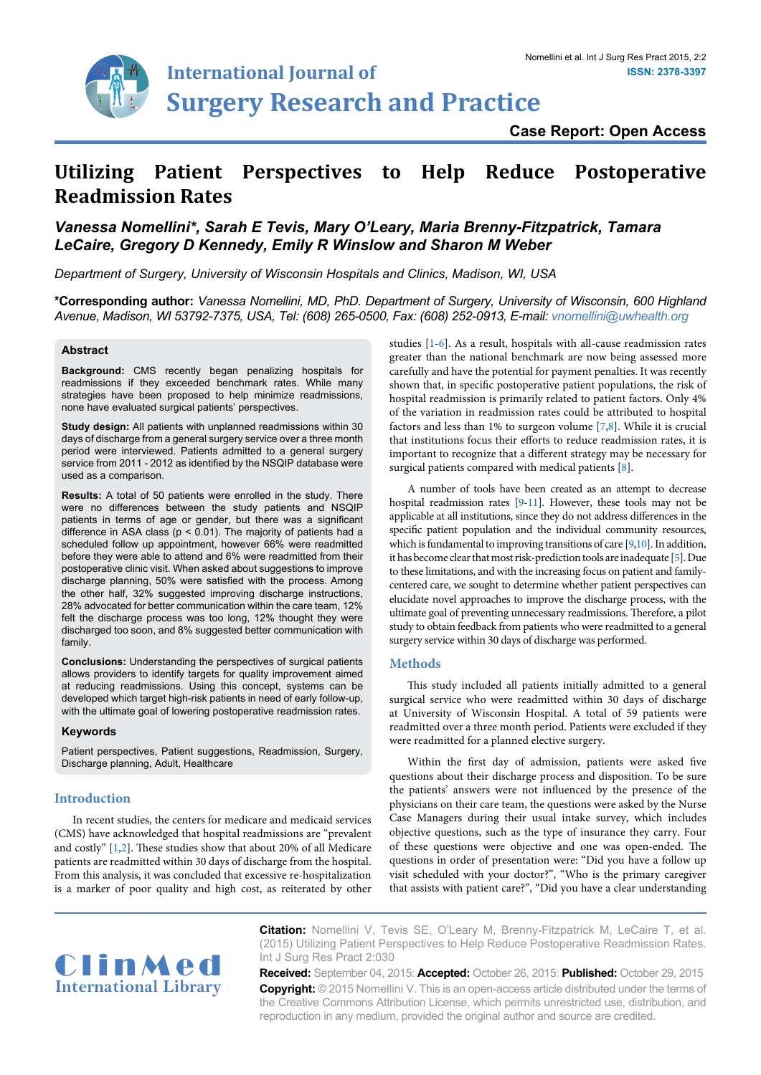

**Case Report: Open Access**

# **Utilizing Patient Perspectives to Help Reduce Postoperative Readmission Rates**

# *Vanessa Nomellini\*, Sarah E Tevis, Mary O'Leary, Maria Brenny-Fitzpatrick, Tamara LeCaire, Gregory D Kennedy, Emily R Winslow and Sharon M Weber*

*Department of Surgery, University of Wisconsin Hospitals and Clinics, Madison, WI, USA*

**\*Corresponding author:** *Vanessa Nomellini, MD, PhD. Department of Surgery, University of Wisconsin, 600 Highland Avenue, Madison, WI 53792-7375, USA, Tel: (608) 265-0500, Fax: (608) 252-0913, E-mail: vnomellini@uwhealth.org*

#### **Abstract**

**Background:** CMS recently began penalizing hospitals for readmissions if they exceeded benchmark rates. While many strategies have been proposed to help minimize readmissions, none have evaluated surgical patients' perspectives.

**Study design:** All patients with unplanned readmissions within 30 days of discharge from a general surgery service over a three month period were interviewed. Patients admitted to a general surgery service from 2011 - 2012 as identified by the NSQIP database were used as a comparison.

**Results:** A total of 50 patients were enrolled in the study. There were no differences between the study patients and NSQIP patients in terms of age or gender, but there was a significant difference in ASA class ( $p < 0.01$ ). The majority of patients had a scheduled follow up appointment, however 66% were readmitted before they were able to attend and 6% were readmitted from their postoperative clinic visit. When asked about suggestions to improve discharge planning, 50% were satisfied with the process. Among the other half, 32% suggested improving discharge instructions, 28% advocated for better communication within the care team, 12% felt the discharge process was too long, 12% thought they were discharged too soon, and 8% suggested better communication with family.

**Conclusions:** Understanding the perspectives of surgical patients allows providers to identify targets for quality improvement aimed at reducing readmissions. Using this concept, systems can be developed which target high-risk patients in need of early follow-up, with the ultimate goal of lowering postoperative readmission rates.

#### **Keywords**

Patient perspectives, Patient suggestions, Readmission, Surgery, Discharge planning, Adult, Healthcare

#### **Introduction**

In recent studies, the centers for medicare and medicaid services (CMS) have acknowledged that hospital readmissions are "prevalent and costly" [[1,](#page-4-0)[2](#page-4-8)]. These studies show that about 20% of all Medicare patients are readmitted within 30 days of discharge from the hospital. From this analysis, it was concluded that excessive re-hospitalization is a marker of poor quality and high cost, as reiterated by other

studies [[1](#page-4-0)[-6\]](#page-4-1). As a result, hospitals with all-cause readmission rates greater than the national benchmark are now being assessed more carefully and have the potential for payment penalties. It was recently shown that, in specific postoperative patient populations, the risk of hospital readmission is primarily related to patient factors. Only 4% of the variation in readmission rates could be attributed to hospital factors and less than 1% to surgeon volume [[7,](#page-4-2)[8](#page-4-3)]. While it is crucial that institutions focus their efforts to reduce readmission rates, it is important to recognize that a different strategy may be necessary for surgical patients compared with medical patients [\[8\]](#page-4-3).

A number of tools have been created as an attempt to decrease hospital readmission rates [[9-](#page-4-4)[11](#page-4-5)]. However, these tools may not be applicable at all institutions, since they do not address differences in the specific patient population and the individual community resources, which is fundamental to improving transitions of care [\[9,](#page-4-4)[10](#page-4-6)]. In addition, it has become clear that most risk-prediction tools are inadequate [[5\]](#page-4-7). Due to these limitations, and with the increasing focus on patient and familycentered care, we sought to determine whether patient perspectives can elucidate novel approaches to improve the discharge process, with the ultimate goal of preventing unnecessary readmissions. Therefore, a pilot study to obtain feedback from patients who were readmitted to a general surgery service within 30 days of discharge was performed.

# **Methods**

This study included all patients initially admitted to a general surgical service who were readmitted within 30 days of discharge at University of Wisconsin Hospital. A total of 59 patients were readmitted over a three month period. Patients were excluded if they were readmitted for a planned elective surgery.

Within the first day of admission, patients were asked five questions about their discharge process and disposition. To be sure the patients' answers were not influenced by the presence of the physicians on their care team, the questions were asked by the Nurse Case Managers during their usual intake survey, which includes objective questions, such as the type of insurance they carry. Four of these questions were objective and one was open-ended. The questions in order of presentation were: "Did you have a follow up visit scheduled with your doctor?", "Who is the primary caregiver that assists with patient care?", "Did you have a clear understanding



**Citation:** Nomellini V, Tevis SE, O'Leary M, Brenny-Fitzpatrick M, LeCaire T, et al. (2015) Utilizing Patient Perspectives to Help Reduce Postoperative Readmission Rates. Int J Surg Res Pract 2:030

**Received:** September 04, 2015: **Accepted:** October 26, 2015: **Published:** October 29, 2015 **Copyright:** © 2015 Nomellini V. This is an open-access article distributed under the terms of the Creative Commons Attribution License, which permits unrestricted use, distribution, and reproduction in any medium, provided the original author and source are credited.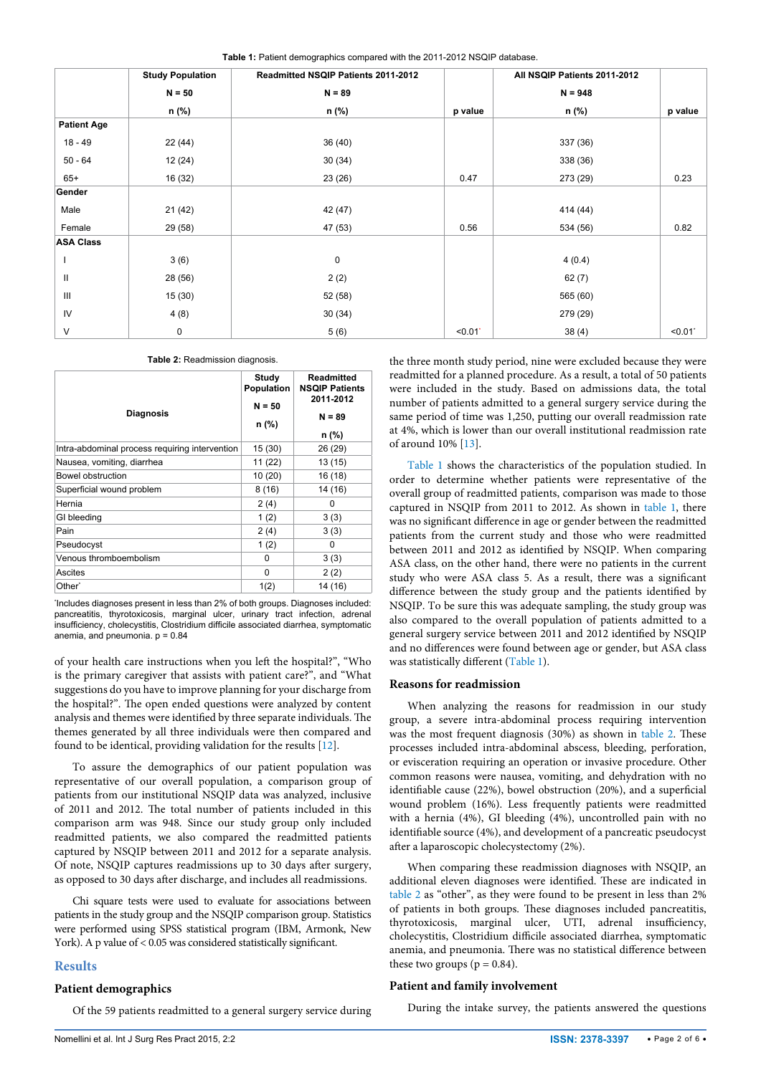<span id="page-1-0"></span>

|  |  | Table 1: Patient demographics compared with the 2011-2012 NSQIP database. |  |  |  |  |  |
|--|--|---------------------------------------------------------------------------|--|--|--|--|--|
|--|--|---------------------------------------------------------------------------|--|--|--|--|--|

|                    | <b>Study Population</b> | Readmitted NSQIP Patients 2011-2012 |         | All NSQIP Patients 2011-2012 |         |
|--------------------|-------------------------|-------------------------------------|---------|------------------------------|---------|
|                    | $N = 50$                | $N = 89$                            |         | $N = 948$                    |         |
|                    | n (%)                   | n (%)                               | p value | n (%)                        | p value |
| <b>Patient Age</b> |                         |                                     |         |                              |         |
| $18 - 49$          | 22 (44)                 | 36(40)                              |         | 337 (36)                     |         |
| $50 - 64$          | 12(24)                  | 30(34)                              |         | 338 (36)                     |         |
| $65+$              | 16 (32)                 | 23(26)                              | 0.47    | 273 (29)                     | 0.23    |
| Gender             |                         |                                     |         |                              |         |
| Male               | 21(42)                  | 42 (47)                             |         | 414 (44)                     |         |
| Female             | 29 (58)                 | 47 (53)                             | 0.56    | 534 (56)                     | 0.82    |
| <b>ASA Class</b>   |                         |                                     |         |                              |         |
|                    | 3(6)                    | 0                                   |         | 4(0.4)                       |         |
| Ш                  | 28 (56)                 | 2(2)                                |         | 62(7)                        |         |
| Ш                  | 15(30)                  | 52 (58)                             |         | 565 (60)                     |         |
| IV                 | 4(8)                    | 30(34)                              |         | 279 (29)                     |         |
| V                  | $\pmb{0}$               | 5(6)                                | < 0.01  | 38(4)                        | < 0.01  |

<span id="page-1-1"></span>**Table 2:** Readmission diagnosis.

| <b>Diagnosis</b>                               | Study<br>Population<br>$N = 50$<br>n (%) | <b>Readmitted</b><br><b>NSQIP Patients</b><br>2011-2012<br>$N = 89$<br>n (%) |
|------------------------------------------------|------------------------------------------|------------------------------------------------------------------------------|
| Intra-abdominal process requiring intervention | 15 (30)                                  | 26 (29)                                                                      |
| Nausea, vomiting, diarrhea                     | 11 (22)                                  | 13(15)                                                                       |
| Bowel obstruction                              | 10 (20)                                  | 16 (18)                                                                      |
| Superficial wound problem                      | 8(16)                                    | 14 (16)                                                                      |
| Hernia                                         | 2(4)                                     | <sup>0</sup>                                                                 |
| GI bleeding                                    | 1(2)                                     | 3(3)                                                                         |
| Pain                                           | 2(4)                                     | 3(3)                                                                         |
| Pseudocyst                                     | 1(2)                                     | 0                                                                            |
| Venous thromboembolism                         | O                                        | 3(3)                                                                         |
| Ascites                                        | 0                                        | 2(2)                                                                         |
| Other <sup>*</sup>                             | 1(2)                                     | 14 (16)                                                                      |

\* Includes diagnoses present in less than 2% of both groups. Diagnoses included: pancreatitis, thyrotoxicosis, marginal ulcer, urinary tract infection, adrenal insufficiency, cholecystitis, Clostridium difficile associated diarrhea, symptomatic anemia, and pneumonia.  $p = 0.84$ 

of your health care instructions when you left the hospital?", "Who is the primary caregiver that assists with patient care?", and "What suggestions do you have to improve planning for your discharge from the hospital?". The open ended questions were analyzed by content analysis and themes were identified by three separate individuals. The themes generated by all three individuals were then compared and found to be identical, providing validation for the results [[12](#page-4-9)].

To assure the demographics of our patient population was representative of our overall population, a comparison group of patients from our institutional NSQIP data was analyzed, inclusive of 2011 and 2012. The total number of patients included in this comparison arm was 948. Since our study group only included readmitted patients, we also compared the readmitted patients captured by NSQIP between 2011 and 2012 for a separate analysis. Of note, NSQIP captures readmissions up to 30 days after surgery, as opposed to 30 days after discharge, and includes all readmissions.

Chi square tests were used to evaluate for associations between patients in the study group and the NSQIP comparison group. Statistics were performed using SPSS statistical program (IBM, Armonk, New York). A p value of < 0.05 was considered statistically significant.

#### **Results**

#### **Patient demographics**

Of the 59 patients readmitted to a general surgery service during

the three month study period, nine were excluded because they were readmitted for a planned procedure. As a result, a total of 50 patients were included in the study. Based on admissions data, the total number of patients admitted to a general surgery service during the same period of time was 1,250, putting our overall readmission rate at 4%, which is lower than our overall institutional readmission rate of around 10% [[13\]](#page-4-10).

[Table 1](#page-1-0) shows the characteristics of the population studied. In order to determine whether patients were representative of the overall group of readmitted patients, comparison was made to those captured in NSQIP from 2011 to 2012. As shown in [table 1,](#page-1-0) there was no significant difference in age or gender between the readmitted patients from the current study and those who were readmitted between 2011 and 2012 as identified by NSQIP. When comparing ASA class, on the other hand, there were no patients in the current study who were ASA class 5. As a result, there was a significant difference between the study group and the patients identified by NSQIP. To be sure this was adequate sampling, the study group was also compared to the overall population of patients admitted to a general surgery service between 2011 and 2012 identified by NSQIP and no differences were found between age or gender, but ASA class was statistically different [\(Table 1\)](#page-1-0).

#### **Reasons for readmission**

When analyzing the reasons for readmission in our study group, a severe intra-abdominal process requiring intervention was the most frequent diagnosis (30%) as shown in [table 2.](#page-1-1) These processes included intra-abdominal abscess, bleeding, perforation, or evisceration requiring an operation or invasive procedure. Other common reasons were nausea, vomiting, and dehydration with no identifiable cause (22%), bowel obstruction (20%), and a superficial wound problem (16%). Less frequently patients were readmitted with a hernia (4%), GI bleeding (4%), uncontrolled pain with no identifiable source (4%), and development of a pancreatic pseudocyst after a laparoscopic cholecystectomy (2%).

When comparing these readmission diagnoses with NSQIP, an additional eleven diagnoses were identified. These are indicated in [table 2](#page-1-1) as "other", as they were found to be present in less than 2% of patients in both groups. These diagnoses included pancreatitis, thyrotoxicosis, marginal ulcer, UTI, adrenal insufficiency, cholecystitis, Clostridium difficile associated diarrhea, symptomatic anemia, and pneumonia. There was no statistical difference between these two groups ( $p = 0.84$ ).

## **Patient and family involvement**

During the intake survey, the patients answered the questions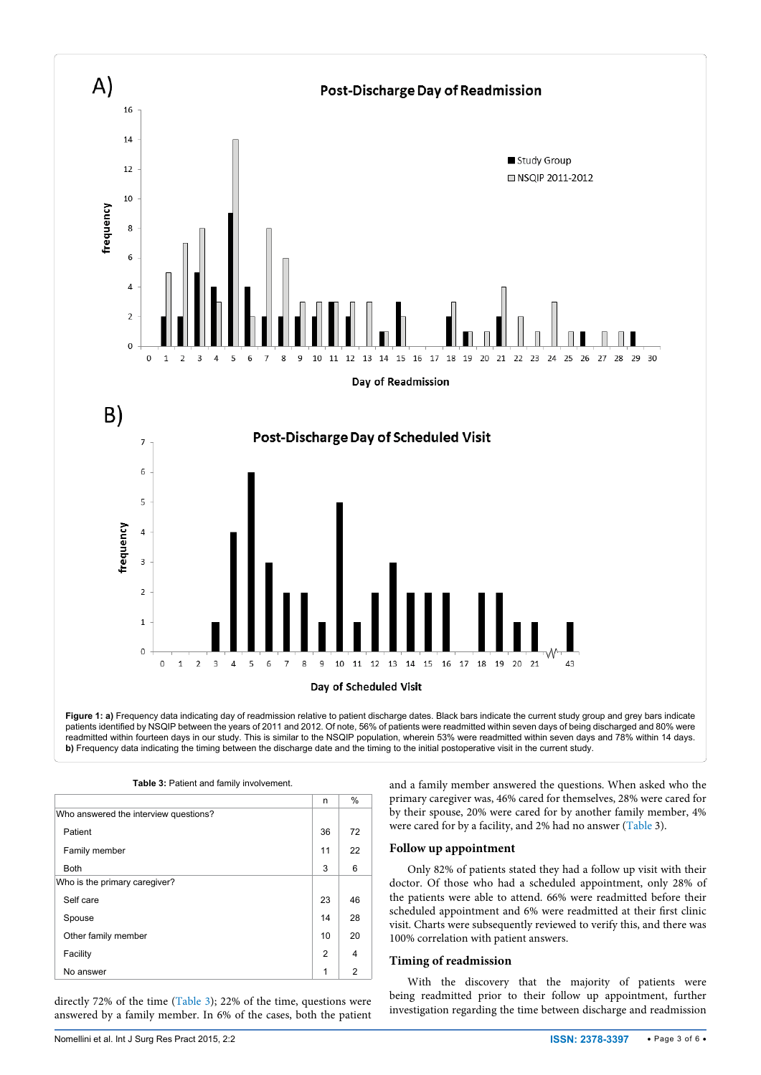<span id="page-2-1"></span>

<span id="page-2-0"></span>

|                                       | n  | %              |
|---------------------------------------|----|----------------|
| Who answered the interview questions? |    |                |
| Patient                               | 36 | 72             |
| Family member                         | 11 | 22             |
| <b>Both</b>                           | 3  | 6              |
| Who is the primary caregiver?         |    |                |
| Self care                             | 23 | 46             |
| Spouse                                | 14 | 28             |
| Other family member                   | 10 | 20             |
| Facility                              | 2  | 4              |
| No answer                             | 1  | $\overline{2}$ |

directly 72% of the time [\(Table 3\)](#page-2-0); 22% of the time, questions were answered by a family member. In 6% of the cases, both the patient and a family member answered the questions. When asked who the primary caregiver was, 46% cared for themselves, 28% were cared for by their spouse, 20% were cared for by another family member, 4% were cared for by a facility, and 2% had no answer [\(Table](#page-2-0) 3).

#### **Follow up appointment**

Only 82% of patients stated they had a follow up visit with their doctor. Of those who had a scheduled appointment, only 28% of the patients were able to attend. 66% were readmitted before their scheduled appointment and 6% were readmitted at their first clinic visit. Charts were subsequently reviewed to verify this, and there was 100% correlation with patient answers.

#### **Timing of readmission**

With the discovery that the majority of patients were being readmitted prior to their follow up appointment, further investigation regarding the time between discharge and readmission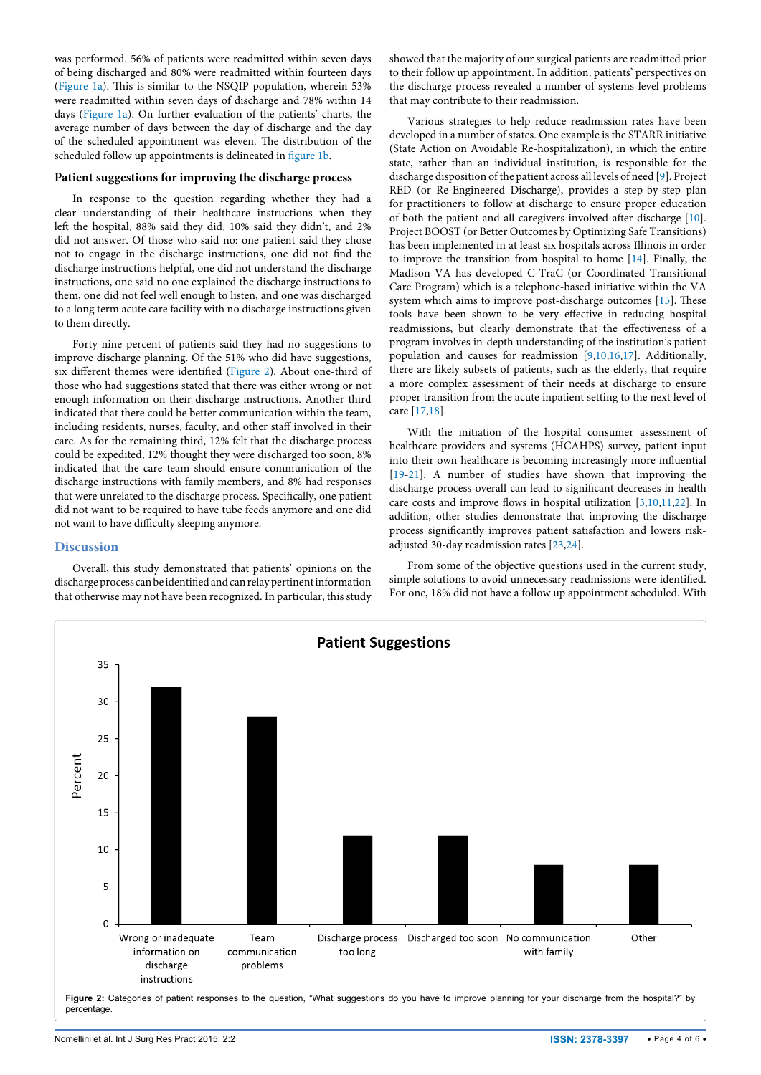was performed. 56% of patients were readmitted within seven days of being discharged and 80% were readmitted within fourteen days ([Figure 1a](#page-2-1)). This is similar to the NSQIP population, wherein 53% were readmitted within seven days of discharge and 78% within 14 days [\(Figure 1a\)](#page-2-1). On further evaluation of the patients' charts, the average number of days between the day of discharge and the day of the scheduled appointment was eleven. The distribution of the scheduled follow up appointments is delineated in [figure 1b](#page-2-1).

#### **Patient suggestions for improving the discharge process**

In response to the question regarding whether they had a clear understanding of their healthcare instructions when they left the hospital, 88% said they did, 10% said they didn't, and 2% did not answer. Of those who said no: one patient said they chose not to engage in the discharge instructions, one did not find the discharge instructions helpful, one did not understand the discharge instructions, one said no one explained the discharge instructions to them, one did not feel well enough to listen, and one was discharged to a long term acute care facility with no discharge instructions given to them directly.

Forty-nine percent of patients said they had no suggestions to improve discharge planning. Of the 51% who did have suggestions, six different themes were identified [\(Figure 2\)](#page-3-0). About one-third of those who had suggestions stated that there was either wrong or not enough information on their discharge instructions. Another third indicated that there could be better communication within the team, including residents, nurses, faculty, and other staff involved in their care. As for the remaining third, 12% felt that the discharge process could be expedited, 12% thought they were discharged too soon, 8% indicated that the care team should ensure communication of the discharge instructions with family members, and 8% had responses that were unrelated to the discharge process. Specifically, one patient did not want to be required to have tube feeds anymore and one did not want to have difficulty sleeping anymore.

#### **Discussion**

Overall, this study demonstrated that patients' opinions on the discharge process can be identified and can relay pertinent information that otherwise may not have been recognized. In particular, this study showed that the majority of our surgical patients are readmitted prior to their follow up appointment. In addition, patients' perspectives on the discharge process revealed a number of systems-level problems that may contribute to their readmission.

Various strategies to help reduce readmission rates have been developed in a number of states. One example is the STARR initiative (State Action on Avoidable Re-hospitalization), in which the entire state, rather than an individual institution, is responsible for the discharge disposition of the patient across all levels of need [\[9](#page-4-4)]. Project RED (or Re-Engineered Discharge), provides a step-by-step plan for practitioners to follow at discharge to ensure proper education of both the patient and all caregivers involved after discharge [[10\]](#page-4-6). Project BOOST (or Better Outcomes by Optimizing Safe Transitions) has been implemented in at least six hospitals across Illinois in order to improve the transition from hospital to home [\[14\]](#page-4-11). Finally, the Madison VA has developed C-TraC (or Coordinated Transitional Care Program) which is a telephone-based initiative within the VA system which aims to improve post-discharge outcomes [[15](#page-5-0)]. These tools have been shown to be very effective in reducing hospital readmissions, but clearly demonstrate that the effectiveness of a program involves in-depth understanding of the institution's patient population and causes for readmission [[9,](#page-4-4)[10,](#page-4-6)[16](#page-5-1)[,17\]](#page-5-2). Additionally, there are likely subsets of patients, such as the elderly, that require a more complex assessment of their needs at discharge to ensure proper transition from the acute inpatient setting to the next level of care [[17](#page-5-2)[,18](#page-5-3)].

With the initiation of the hospital consumer assessment of healthcare providers and systems (HCAHPS) survey, patient input into their own healthcare is becoming increasingly more influential [[19](#page-5-4)-[21](#page-5-5)]. A number of studies have shown that improving the discharge process overall can lead to significant decreases in health care costs and improve flows in hospital utilization [\[3,](#page-4-12)[10](#page-4-6)[,11,](#page-4-5)[22\]](#page-5-6). In addition, other studies demonstrate that improving the discharge process significantly improves patient satisfaction and lowers riskadjusted 30-day readmission rates [\[23](#page-5-7)[,24\]](#page-5-8).

From some of the objective questions used in the current study, simple solutions to avoid unnecessary readmissions were identified. For one, 18% did not have a follow up appointment scheduled. With

<span id="page-3-0"></span>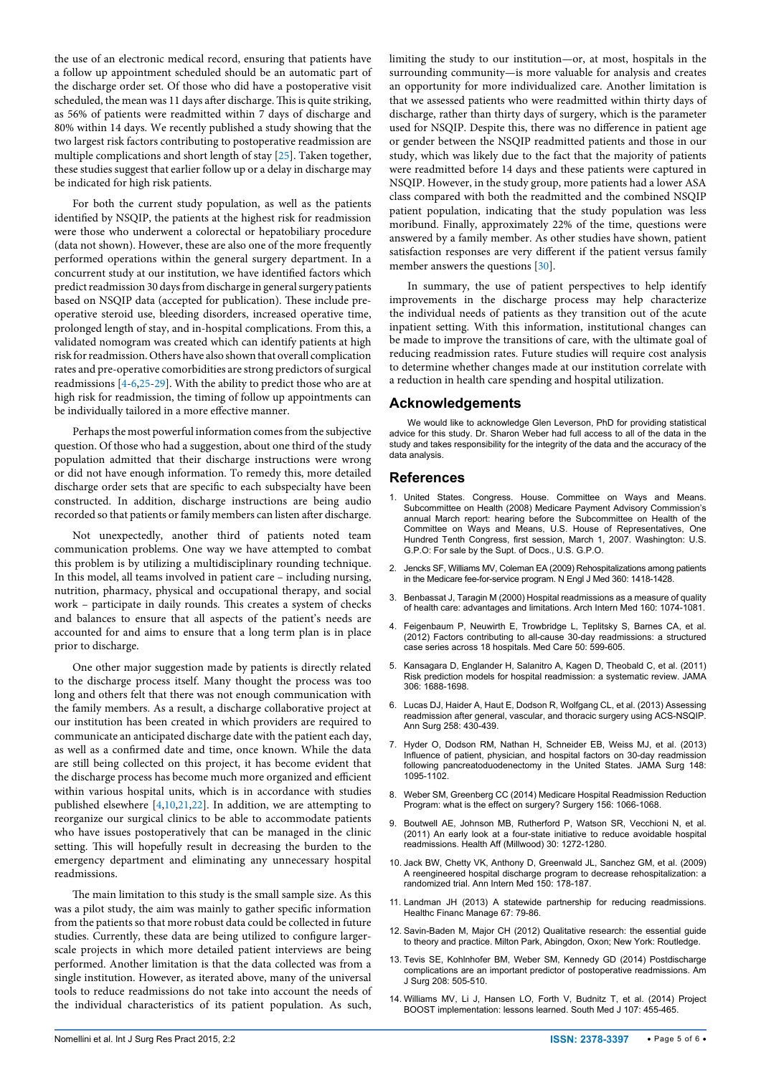the use of an electronic medical record, ensuring that patients have a follow up appointment scheduled should be an automatic part of the discharge order set. Of those who did have a postoperative visit scheduled, the mean was 11 days after discharge. This is quite striking, as 56% of patients were readmitted within 7 days of discharge and 80% within 14 days. We recently published a study showing that the two largest risk factors contributing to postoperative readmission are multiple complications and short length of stay [[25](#page-5-9)]. Taken together, these studies suggest that earlier follow up or a delay in discharge may be indicated for high risk patients.

For both the current study population, as well as the patients identified by NSQIP, the patients at the highest risk for readmission were those who underwent a colorectal or hepatobiliary procedure (data not shown). However, these are also one of the more frequently performed operations within the general surgery department. In a concurrent study at our institution, we have identified factors which predict readmission 30 days from discharge in general surgery patients based on NSQIP data (accepted for publication). These include preoperative steroid use, bleeding disorders, increased operative time, prolonged length of stay, and in-hospital complications. From this, a validated nomogram was created which can identify patients at high risk for readmission. Others have also shown that overall complication rates and pre-operative comorbidities are strong predictors of surgical readmissions [\[4](#page-4-13)-[6,](#page-4-1)[25-](#page-5-9)[29](#page-5-10)]. With the ability to predict those who are at high risk for readmission, the timing of follow up appointments can be individually tailored in a more effective manner.

Perhaps the most powerful information comes from the subjective question. Of those who had a suggestion, about one third of the study population admitted that their discharge instructions were wrong or did not have enough information. To remedy this, more detailed discharge order sets that are specific to each subspecialty have been constructed. In addition, discharge instructions are being audio recorded so that patients or family members can listen after discharge.

Not unexpectedly, another third of patients noted team communication problems. One way we have attempted to combat this problem is by utilizing a multidisciplinary rounding technique. In this model, all teams involved in patient care – including nursing, nutrition, pharmacy, physical and occupational therapy, and social work – participate in daily rounds. This creates a system of checks and balances to ensure that all aspects of the patient's needs are accounted for and aims to ensure that a long term plan is in place prior to discharge.

One other major suggestion made by patients is directly related to the discharge process itself. Many thought the process was too long and others felt that there was not enough communication with the family members. As a result, a discharge collaborative project at our institution has been created in which providers are required to communicate an anticipated discharge date with the patient each day, as well as a confirmed date and time, once known. While the data are still being collected on this project, it has become evident that the discharge process has become much more organized and efficient within various hospital units, which is in accordance with studies published elsewhere [\[4,](#page-4-13)[10](#page-4-6)[,21,](#page-5-5)[22\]](#page-5-6). In addition, we are attempting to reorganize our surgical clinics to be able to accommodate patients who have issues postoperatively that can be managed in the clinic setting. This will hopefully result in decreasing the burden to the emergency department and eliminating any unnecessary hospital readmissions.

The main limitation to this study is the small sample size. As this was a pilot study, the aim was mainly to gather specific information from the patients so that more robust data could be collected in future studies. Currently, these data are being utilized to configure largerscale projects in which more detailed patient interviews are being performed. Another limitation is that the data collected was from a single institution. However, as iterated above, many of the universal tools to reduce readmissions do not take into account the needs of the individual characteristics of its patient population. As such, limiting the study to our institution—or, at most, hospitals in the surrounding community—is more valuable for analysis and creates an opportunity for more individualized care. Another limitation is that we assessed patients who were readmitted within thirty days of discharge, rather than thirty days of surgery, which is the parameter used for NSQIP. Despite this, there was no difference in patient age or gender between the NSQIP readmitted patients and those in our study, which was likely due to the fact that the majority of patients were readmitted before 14 days and these patients were captured in NSQIP. However, in the study group, more patients had a lower ASA class compared with both the readmitted and the combined NSQIP patient population, indicating that the study population was less moribund. Finally, approximately 22% of the time, questions were answered by a family member. As other studies have shown, patient satisfaction responses are very different if the patient versus family member answers the questions [[30\]](#page-5-11).

In summary, the use of patient perspectives to help identify improvements in the discharge process may help characterize the individual needs of patients as they transition out of the acute inpatient setting. With this information, institutional changes can be made to improve the transitions of care, with the ultimate goal of reducing readmission rates. Future studies will require cost analysis to determine whether changes made at our institution correlate with a reduction in health care spending and hospital utilization.

## **Acknowledgements**

We would like to acknowledge Glen Leverson, PhD for providing statistical advice for this study. Dr. Sharon Weber had full access to all of the data in the study and takes responsibility for the integrity of the data and the accuracy of the data analysis.

# **References**

- <span id="page-4-0"></span>1. [United States. Congress. House. Committee on Ways and Means.](https://www.hathitrust.org/usdocs_registry/catalog/884607de-a532-43a6-8169-939ea2c7cc41)  [Subcommittee on Health \(2008\) Medicare Payment Advisory Commission's](https://www.hathitrust.org/usdocs_registry/catalog/884607de-a532-43a6-8169-939ea2c7cc41)  [annual March report: hearing before the Subcommittee on Health of the](https://www.hathitrust.org/usdocs_registry/catalog/884607de-a532-43a6-8169-939ea2c7cc41)  [Committee on Ways and Means, U.S. House of Representatives, One](https://www.hathitrust.org/usdocs_registry/catalog/884607de-a532-43a6-8169-939ea2c7cc41)  [Hundred Tenth Congress, first session, March 1, 2007. Washington: U.S.](https://www.hathitrust.org/usdocs_registry/catalog/884607de-a532-43a6-8169-939ea2c7cc41)  [G.P.O: For sale by the Supt. of Docs., U.S. G.P.O.](https://www.hathitrust.org/usdocs_registry/catalog/884607de-a532-43a6-8169-939ea2c7cc41)
- <span id="page-4-8"></span>2. [Jencks SF, Williams MV, Coleman EA \(2009\) Rehospitalizations among patients](http://www.ncbi.nlm.nih.gov/pubmed/19339721)  [in the Medicare fee-for-service program. N Engl J Med 360: 1418-1428.](http://www.ncbi.nlm.nih.gov/pubmed/19339721)
- <span id="page-4-12"></span>3. [Benbassat J, Taragin M \(2000\) Hospital readmissions as a measure of quality](http://www.ncbi.nlm.nih.gov/pubmed/10789599)  [of health care: advantages and limitations. Arch Intern Med 160: 1074-1081.](http://www.ncbi.nlm.nih.gov/pubmed/10789599)
- <span id="page-4-13"></span>4. [Feigenbaum P, Neuwirth E, Trowbridge L, Teplitsky S, Barnes CA, et al.](http://www.ncbi.nlm.nih.gov/pubmed/22354212)  [\(2012\) Factors contributing to all-cause 30-day readmissions: a structured](http://www.ncbi.nlm.nih.gov/pubmed/22354212)  [case series across 18 hospitals. Med Care 50: 599-605.](http://www.ncbi.nlm.nih.gov/pubmed/22354212)
- <span id="page-4-7"></span>5. [Kansagara D, Englander H, Salanitro A, Kagen D, Theobald C, et al. \(2011\)](http://www.ncbi.nlm.nih.gov/pubmed/22009101)  [Risk prediction models for hospital readmission: a systematic review. JAMA](http://www.ncbi.nlm.nih.gov/pubmed/22009101)  [306: 1688-1698.](http://www.ncbi.nlm.nih.gov/pubmed/22009101)
- <span id="page-4-1"></span>6. [Lucas DJ, Haider A, Haut E, Dodson R, Wolfgang CL, et al. \(2013\) Assessing](http://www.ncbi.nlm.nih.gov/pubmed/24022435)  [readmission after general, vascular, and thoracic surgery using ACS-NSQIP.](http://www.ncbi.nlm.nih.gov/pubmed/24022435)  [Ann Surg 258: 430-439.](http://www.ncbi.nlm.nih.gov/pubmed/24022435)
- <span id="page-4-2"></span>7. [Hyder O, Dodson RM, Nathan H, Schneider EB, Weiss MJ, et al. \(2013\)](http://www.ncbi.nlm.nih.gov/pubmed/24108580)  [Influence of patient, physician, and hospital factors on 30-day readmission](http://www.ncbi.nlm.nih.gov/pubmed/24108580)  [following pancreatoduodenectomy in the United States. JAMA Surg 148:](http://www.ncbi.nlm.nih.gov/pubmed/24108580)  [1095-1102.](http://www.ncbi.nlm.nih.gov/pubmed/24108580)
- <span id="page-4-3"></span>8. [Weber SM, Greenberg CC \(2014\) Medicare Hospital Readmission Reduction](http://www.ncbi.nlm.nih.gov/pubmed/25017133)  [Program: what is the effect on surgery? Surgery 156: 1066-1068.](http://www.ncbi.nlm.nih.gov/pubmed/25017133)
- <span id="page-4-4"></span>9. [Boutwell AE, Johnson MB, Rutherford P, Watson SR, Vecchioni N, et al.](http://www.ncbi.nlm.nih.gov/pubmed/21734200)  [\(2011\) An early look at a four-state initiative to reduce avoidable hospital](http://www.ncbi.nlm.nih.gov/pubmed/21734200)  [readmissions. Health Aff \(Millwood\) 30: 1272-1280.](http://www.ncbi.nlm.nih.gov/pubmed/21734200)
- <span id="page-4-6"></span>10. [Jack BW, Chetty VK, Anthony D, Greenwald JL, Sanchez GM, et al. \(2009\)](http://www.ncbi.nlm.nih.gov/pubmed/19189907)  [A reengineered hospital discharge program to decrease rehospitalization: a](http://www.ncbi.nlm.nih.gov/pubmed/19189907)  [randomized trial. Ann Intern Med 150: 178-187.](http://www.ncbi.nlm.nih.gov/pubmed/19189907)
- <span id="page-4-5"></span>11. [Landman JH \(2013\) A statewide partnership for reducing readmissions.](http://www.ncbi.nlm.nih.gov/pubmed/23795382)  [Healthc Financ Manage 67: 79-86.](http://www.ncbi.nlm.nih.gov/pubmed/23795382)
- <span id="page-4-9"></span>12. [Savin-Baden M, Major CH \(2012\) Qualitative research: the essential guide](https://books.google.co.in/books/about/Qualitative_Research.html?id=288XkgEACAAJ&redir_esc=y)  [to theory and practice. Milton Park, Abingdon, Oxon; New York: Routledge.](https://books.google.co.in/books/about/Qualitative_Research.html?id=288XkgEACAAJ&redir_esc=y)
- <span id="page-4-10"></span>13. [Tevis SE, Kohlnhofer BM, Weber SM, Kennedy GD \(2014\) Postdischarge](http://www.ncbi.nlm.nih.gov/pubmed/25150195)  [complications are an important predictor of postoperative readmissions. Am](http://www.ncbi.nlm.nih.gov/pubmed/25150195)  [J Surg 208: 505-510.](http://www.ncbi.nlm.nih.gov/pubmed/25150195)
- <span id="page-4-11"></span>14. [Williams MV, Li J, Hansen LO, Forth V, Budnitz T, et al. \(2014\) Project](http://www.ncbi.nlm.nih.gov/pubmed/25010589)  [BOOST implementation: lessons learned. South Med J 107: 455-465.](http://www.ncbi.nlm.nih.gov/pubmed/25010589)